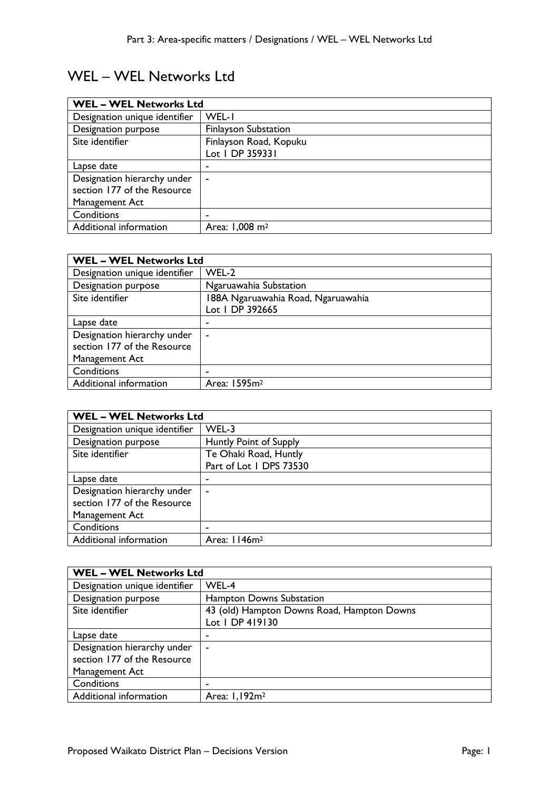## WEL – WEL Networks Ltd

| <b>WEL - WEL Networks Ltd</b> |                             |
|-------------------------------|-----------------------------|
| Designation unique identifier | WEL-I                       |
| Designation purpose           | <b>Finlayson Substation</b> |
| Site identifier               | Finlayson Road, Kopuku      |
|                               | Lot 1 DP 359331             |
| Lapse date                    | -                           |
| Designation hierarchy under   | ۰                           |
| section 177 of the Resource   |                             |
| Management Act                |                             |
| Conditions                    | -                           |
| Additional information        | Area: 1,008 m <sup>2</sup>  |

| <b>WEL - WEL Networks Ltd</b> |                                    |
|-------------------------------|------------------------------------|
| Designation unique identifier | WEL-2                              |
| Designation purpose           | Ngaruawahia Substation             |
| Site identifier               | 188A Ngaruawahia Road, Ngaruawahia |
|                               | Lot 1 DP 392665                    |
| Lapse date                    | -                                  |
| Designation hierarchy under   | $\overline{\phantom{a}}$           |
| section 177 of the Resource   |                                    |
| Management Act                |                                    |
| Conditions                    | ٠                                  |
| Additional information        | Area: 1595m <sup>2</sup>           |

| <b>WEL - WEL Networks Ltd</b> |                          |
|-------------------------------|--------------------------|
| Designation unique identifier | WEL-3                    |
| Designation purpose           | Huntly Point of Supply   |
| Site identifier               | Te Ohaki Road, Huntly    |
|                               | Part of Lot 1 DPS 73530  |
| Lapse date                    | ٠                        |
| Designation hierarchy under   | ٠                        |
| section 177 of the Resource   |                          |
| Management Act                |                          |
| Conditions                    | -                        |
| Additional information        | Area: 1146m <sup>2</sup> |

| <b>WEL - WEL Networks Ltd</b> |                                            |
|-------------------------------|--------------------------------------------|
| Designation unique identifier | WEL-4                                      |
| Designation purpose           | Hampton Downs Substation                   |
| Site identifier               | 43 (old) Hampton Downs Road, Hampton Downs |
|                               | Lot 1 DP 419130                            |
| Lapse date                    | ٠                                          |
| Designation hierarchy under   | $\sim$                                     |
| section 177 of the Resource   |                                            |
| Management Act                |                                            |
| Conditions                    | ۰                                          |
| Additional information        | Area: 1,192m <sup>2</sup>                  |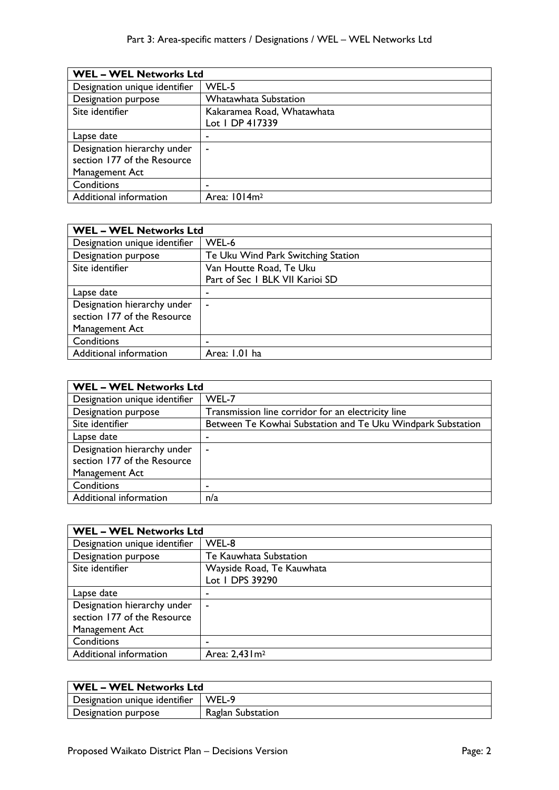| <b>WEL - WEL Networks Ltd</b> |                              |
|-------------------------------|------------------------------|
| Designation unique identifier | WEL-5                        |
| Designation purpose           | <b>Whatawhata Substation</b> |
| Site identifier               | Kakaramea Road, Whatawhata   |
|                               | Lot 1 DP 417339              |
| Lapse date                    |                              |
| Designation hierarchy under   | $\sim$                       |
| section 177 of the Resource   |                              |
| Management Act                |                              |
| Conditions                    |                              |
| Additional information        | Area: 1014m <sup>2</sup>     |

| <b>WEL - WEL Networks Ltd</b> |                                    |
|-------------------------------|------------------------------------|
| Designation unique identifier | WEL-6                              |
| Designation purpose           | Te Uku Wind Park Switching Station |
| Site identifier               | Van Houtte Road, Te Uku            |
|                               | Part of Sec 1 BLK VII Karioi SD    |
| Lapse date                    |                                    |
| Designation hierarchy under   | $\blacksquare$                     |
| section 177 of the Resource   |                                    |
| Management Act                |                                    |
| Conditions                    |                                    |
| Additional information        | Area: 1.01 ha                      |

| <b>WEL - WEL Networks Ltd</b> |                                                             |
|-------------------------------|-------------------------------------------------------------|
| Designation unique identifier | WEL-7                                                       |
| Designation purpose           | Transmission line corridor for an electricity line          |
| Site identifier               | Between Te Kowhai Substation and Te Uku Windpark Substation |
| Lapse date                    |                                                             |
| Designation hierarchy under   | $\overline{\phantom{a}}$                                    |
| section 177 of the Resource   |                                                             |
| Management Act                |                                                             |
| Conditions                    | -                                                           |
| Additional information        | n/a                                                         |

| <b>WEL - WEL Networks Ltd</b> |                             |
|-------------------------------|-----------------------------|
| Designation unique identifier | WEL-8                       |
| Designation purpose           | Te Kauwhata Substation      |
| Site identifier               | Wayside Road, Te Kauwhata   |
|                               | Lot 1 DPS 39290             |
| Lapse date                    | ٠                           |
| Designation hierarchy under   | $\blacksquare$              |
| section 177 of the Resource   |                             |
| Management Act                |                             |
| Conditions                    |                             |
| Additional information        | Area: 2,43 l m <sup>2</sup> |

| WEL – WEL Networks Ltd        |                   |
|-------------------------------|-------------------|
| Designation unique identifier | WEL-9             |
| Designation purpose           | Raglan Substation |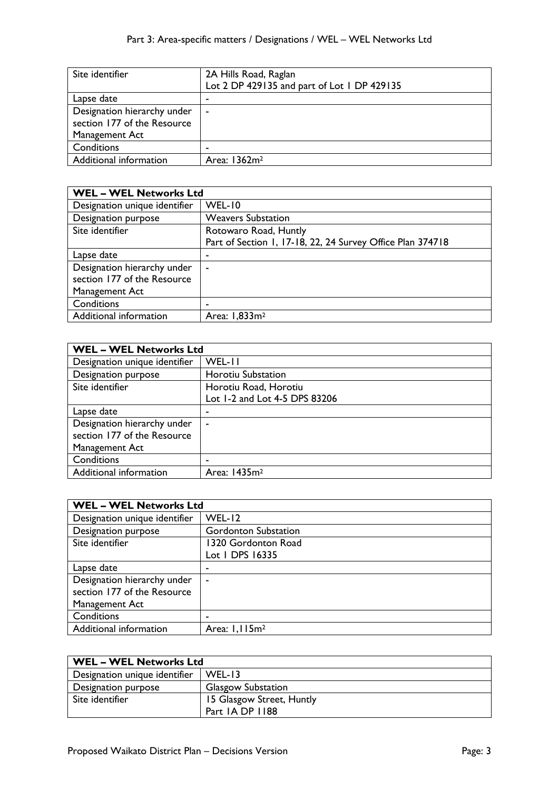| Site identifier             | 2A Hills Road, Raglan<br>Lot 2 DP 429135 and part of Lot 1 DP 429135 |
|-----------------------------|----------------------------------------------------------------------|
| Lapse date                  |                                                                      |
| Designation hierarchy under | $\blacksquare$                                                       |
| section 177 of the Resource |                                                                      |
| Management Act              |                                                                      |
| Conditions                  |                                                                      |
| Additional information      | Area: 1362m <sup>2</sup>                                             |

| <b>WEL - WEL Networks Ltd</b> |                                                            |
|-------------------------------|------------------------------------------------------------|
| Designation unique identifier | WEL-10                                                     |
| Designation purpose           | <b>Weavers Substation</b>                                  |
| Site identifier               | Rotowaro Road, Huntly                                      |
|                               | Part of Section 1, 17-18, 22, 24 Survey Office Plan 374718 |
| Lapse date                    | -                                                          |
| Designation hierarchy under   | ۰                                                          |
| section 177 of the Resource   |                                                            |
| Management Act                |                                                            |
| Conditions                    |                                                            |
| Additional information        | Area: 1,833m <sup>2</sup>                                  |

| <b>WEL - WEL Networks Ltd</b> |  |
|-------------------------------|--|
| WEL-II                        |  |
| Horotiu Substation            |  |
| Horotiu Road, Horotiu         |  |
| Lot 1-2 and Lot 4-5 DPS 83206 |  |
|                               |  |
| ۰                             |  |
|                               |  |
|                               |  |
|                               |  |
| Area: 1435m <sup>2</sup>      |  |
|                               |  |

| <b>WEL - WEL Networks Ltd</b> |                             |
|-------------------------------|-----------------------------|
| Designation unique identifier | $WEL-12$                    |
| Designation purpose           | <b>Gordonton Substation</b> |
| Site identifier               | 1320 Gordonton Road         |
|                               | Lot 1 DPS 16335             |
| Lapse date                    |                             |
| Designation hierarchy under   | ۰                           |
| section 177 of the Resource   |                             |
| Management Act                |                             |
| Conditions                    |                             |
| Additional information        | Area: $1,115m2$             |

| <b>WEL - WEL Networks Ltd</b> |                           |
|-------------------------------|---------------------------|
| Designation unique identifier | $WEL-13$                  |
| Designation purpose           | <b>Glasgow Substation</b> |
| Site identifier               | 15 Glasgow Street, Huntly |
|                               | Part 1A DP 1188           |